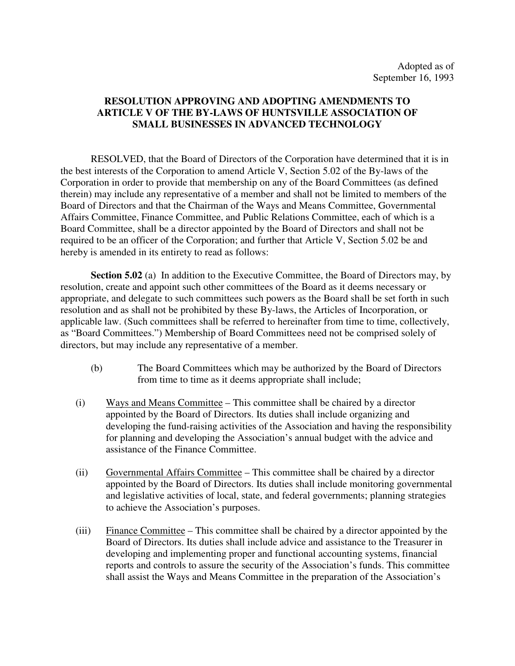## **RESOLUTION APPROVING AND ADOPTING AMENDMENTS TO ARTICLE V OF THE BY-LAWS OF HUNTSVILLE ASSOCIATION OF SMALL BUSINESSES IN ADVANCED TECHNOLOGY**

RESOLVED, that the Board of Directors of the Corporation have determined that it is in the best interests of the Corporation to amend Article V, Section 5.02 of the By-laws of the Corporation in order to provide that membership on any of the Board Committees (as defined therein) may include any representative of a member and shall not be limited to members of the Board of Directors and that the Chairman of the Ways and Means Committee, Governmental Affairs Committee, Finance Committee, and Public Relations Committee, each of which is a Board Committee, shall be a director appointed by the Board of Directors and shall not be required to be an officer of the Corporation; and further that Article V, Section 5.02 be and hereby is amended in its entirety to read as follows:

**Section 5.02** (a) In addition to the Executive Committee, the Board of Directors may, by resolution, create and appoint such other committees of the Board as it deems necessary or appropriate, and delegate to such committees such powers as the Board shall be set forth in such resolution and as shall not be prohibited by these By-laws, the Articles of Incorporation, or applicable law. (Such committees shall be referred to hereinafter from time to time, collectively, as "Board Committees.") Membership of Board Committees need not be comprised solely of directors, but may include any representative of a member.

- (b) The Board Committees which may be authorized by the Board of Directors from time to time as it deems appropriate shall include;
- (i) Ways and Means Committee This committee shall be chaired by a director appointed by the Board of Directors. Its duties shall include organizing and developing the fund-raising activities of the Association and having the responsibility for planning and developing the Association's annual budget with the advice and assistance of the Finance Committee.
- (ii) Governmental Affairs Committee This committee shall be chaired by a director appointed by the Board of Directors. Its duties shall include monitoring governmental and legislative activities of local, state, and federal governments; planning strategies to achieve the Association's purposes.
- (iii) Finance Committee This committee shall be chaired by a director appointed by the Board of Directors. Its duties shall include advice and assistance to the Treasurer in developing and implementing proper and functional accounting systems, financial reports and controls to assure the security of the Association's funds. This committee shall assist the Ways and Means Committee in the preparation of the Association's